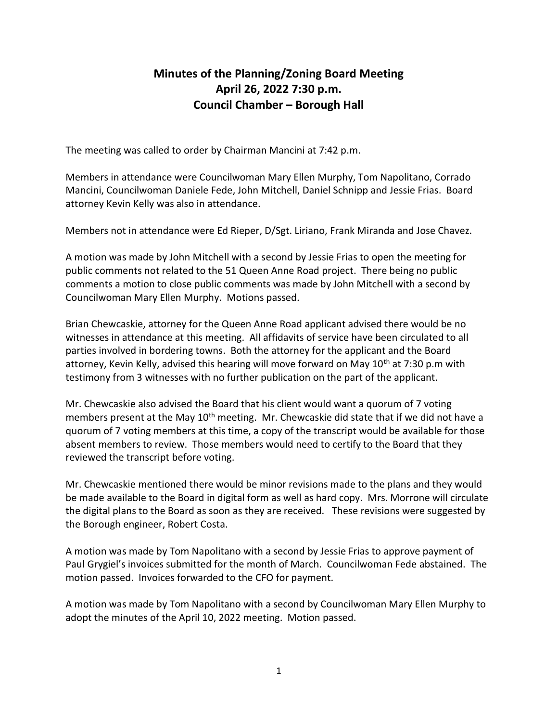## Minutes of the Planning/Zoning Board Meeting April 26, 2022 7:30 p.m. Council Chamber – Borough Hall

The meeting was called to order by Chairman Mancini at 7:42 p.m.

Members in attendance were Councilwoman Mary Ellen Murphy, Tom Napolitano, Corrado Mancini, Councilwoman Daniele Fede, John Mitchell, Daniel Schnipp and Jessie Frias. Board attorney Kevin Kelly was also in attendance.

Members not in attendance were Ed Rieper, D/Sgt. Liriano, Frank Miranda and Jose Chavez.

A motion was made by John Mitchell with a second by Jessie Frias to open the meeting for public comments not related to the 51 Queen Anne Road project. There being no public comments a motion to close public comments was made by John Mitchell with a second by Councilwoman Mary Ellen Murphy. Motions passed.

Brian Chewcaskie, attorney for the Queen Anne Road applicant advised there would be no witnesses in attendance at this meeting. All affidavits of service have been circulated to all parties involved in bordering towns. Both the attorney for the applicant and the Board attorney, Kevin Kelly, advised this hearing will move forward on May  $10<sup>th</sup>$  at 7:30 p.m with testimony from 3 witnesses with no further publication on the part of the applicant.

Mr. Chewcaskie also advised the Board that his client would want a quorum of 7 voting members present at the May 10<sup>th</sup> meeting. Mr. Chewcaskie did state that if we did not have a quorum of 7 voting members at this time, a copy of the transcript would be available for those absent members to review. Those members would need to certify to the Board that they reviewed the transcript before voting.

Mr. Chewcaskie mentioned there would be minor revisions made to the plans and they would be made available to the Board in digital form as well as hard copy. Mrs. Morrone will circulate the digital plans to the Board as soon as they are received. These revisions were suggested by the Borough engineer, Robert Costa.

A motion was made by Tom Napolitano with a second by Jessie Frias to approve payment of Paul Grygiel's invoices submitted for the month of March. Councilwoman Fede abstained. The motion passed. Invoices forwarded to the CFO for payment.

A motion was made by Tom Napolitano with a second by Councilwoman Mary Ellen Murphy to adopt the minutes of the April 10, 2022 meeting. Motion passed.